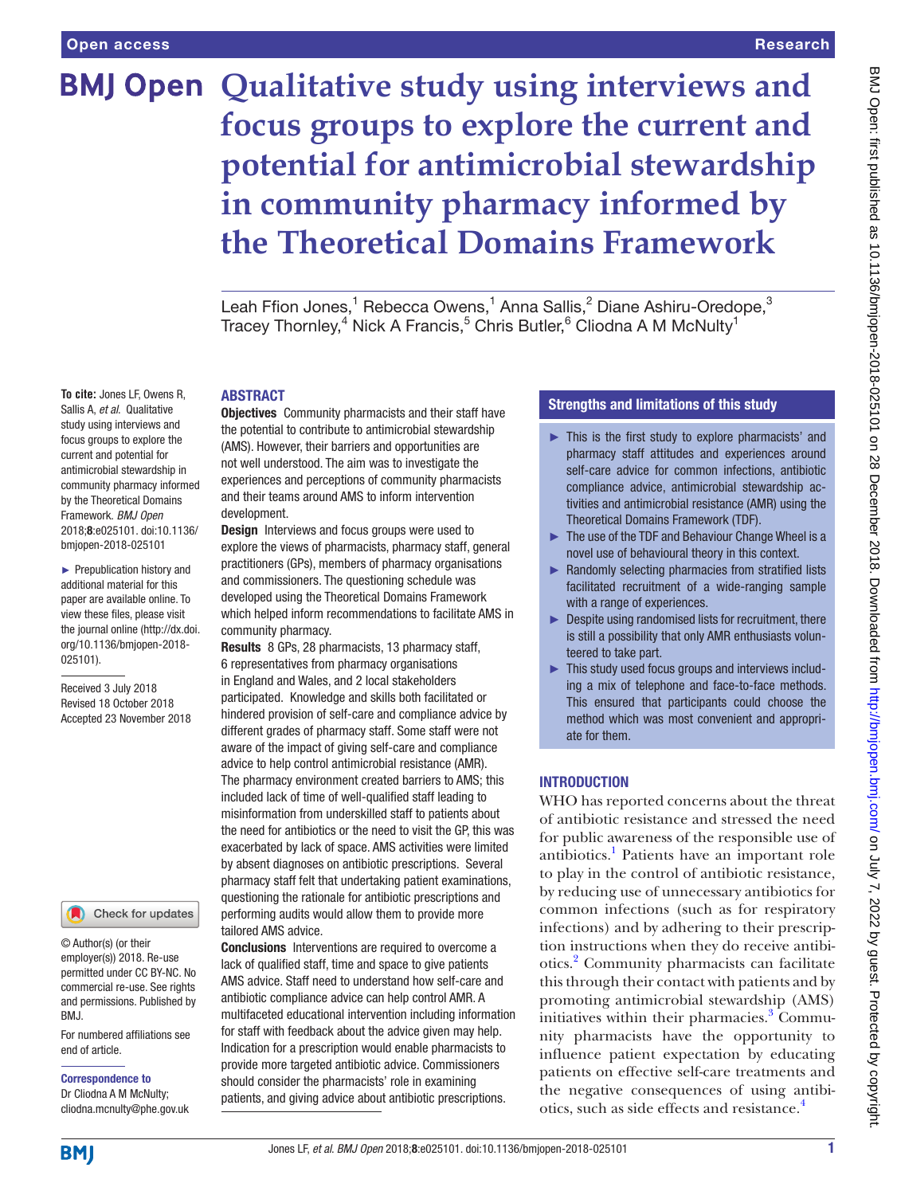## Research

# **BMJ Open Qualitative study using interviews and focus groups to explore the current and potential for antimicrobial stewardship in community pharmacy informed by the Theoretical Domains Framework**

Leah Ffion Jones, $^1$  Rebecca Owens, $^1$  Anna Sallis, $^2$  Diane Ashiru-Oredope, $^3$ Tracey Thornley, $^4$  Nick A Francis, $^5$  Chris Butler, $^6$  Cliodna A M McNulty $^1$ 

#### **ABSTRACT**

**Objectives** Community pharmacists and their staff have the potential to contribute to antimicrobial stewardship (AMS). However, their barriers and opportunities are not well understood. The aim was to investigate the experiences and perceptions of community pharmacists and their teams around AMS to inform intervention development.

Design Interviews and focus groups were used to explore the views of pharmacists, pharmacy staff, general practitioners (GPs), members of pharmacy organisations and commissioners. The questioning schedule was developed using the Theoretical Domains Framework which helped inform recommendations to facilitate AMS in community pharmacy.

Results 8 GPs, 28 pharmacists, 13 pharmacy staff, 6 representatives from pharmacy organisations in England and Wales, and 2 local stakeholders participated. Knowledge and skills both facilitated or hindered provision of self-care and compliance advice by different grades of pharmacy staff. Some staff were not aware of the impact of giving self-care and compliance advice to help control antimicrobial resistance (AMR). The pharmacy environment created barriers to AMS; this included lack of time of well-qualified staff leading to misinformation from underskilled staff to patients about the need for antibiotics or the need to visit the GP, this was exacerbated by lack of space. AMS activities were limited by absent diagnoses on antibiotic prescriptions. Several pharmacy staff felt that undertaking patient examinations, questioning the rationale for antibiotic prescriptions and performing audits would allow them to provide more tailored AMS advice.

Conclusions Interventions are required to overcome a lack of qualified staff, time and space to give patients AMS advice. Staff need to understand how self-care and antibiotic compliance advice can help control AMR. A multifaceted educational intervention including information for staff with feedback about the advice given may help. Indication for a prescription would enable pharmacists to provide more targeted antibiotic advice. Commissioners should consider the pharmacists' role in examining patients, and giving advice about antibiotic prescriptions.

## Strengths and limitations of this study

- ► This is the first study to explore pharmacists' and pharmacy staff attitudes and experiences around self-care advice for common infections, antibiotic compliance advice, antimicrobial stewardship activities and antimicrobial resistance (AMR) using the Theoretical Domains Framework (TDF).
- ► The use of the TDF and Behaviour Change Wheel is a novel use of behavioural theory in this context.
- ► Randomly selecting pharmacies from stratified lists facilitated recruitment of a wide-ranging sample with a range of experiences.
- ► Despite using randomised lists for recruitment, there is still a possibility that only AMR enthusiasts volunteered to take part.
- ► This study used focus groups and interviews including a mix of telephone and face-to-face methods. This ensured that participants could choose the method which was most convenient and appropriate for them.

## **INTRODUCTION**

WHO has reported concerns about the threat of antibiotic resistance and stressed the need for public awareness of the responsible use of antibiotics.<sup>[1](#page-9-0)</sup> Patients have an important role to play in the control of antibiotic resistance, by reducing use of unnecessary antibiotics for common infections (such as for respiratory infections) and by adhering to their prescription instructions when they do receive antibiotics.[2](#page-9-1) Community pharmacists can facilitate this through their contact with patients and by promoting antimicrobial stewardship (AMS) initiatives within their pharmacies. $3$  Community pharmacists have the opportunity to influence patient expectation by educating patients on effective self-care treatments and the negative consequences of using antibi-otics, such as side effects and resistance.<sup>[4](#page-9-3)</sup>

## Received 3 July 2018 Revised 18 October 2018 Accepted 23 November 2018

[025101\)](http://dx.doi.org/10.1136/bmjopen-2018-025101).

**To cite:** Jones LF, Owens R, Sallis A, *et al*. Qualitative study using interviews and focus groups to explore the current and potential for antimicrobial stewardship in community pharmacy informed by the Theoretical Domains Framework. *BMJ Open* 2018;8:e025101. doi:10.1136/ bmjopen-2018-025101 ► Prepublication history and additional material for this paper are available online. To view these files, please visit the journal online [\(http://dx.doi.](http://dx.doi.org/10.1136/bmjopen-2018-025101) [org/10.1136/bmjopen-2018-](http://dx.doi.org/10.1136/bmjopen-2018-025101)



© Author(s) (or their employer(s)) 2018. Re-use permitted under CC BY-NC. No commercial re-use. See rights and permissions. Published by BMJ.

For numbered affiliations see end of article.

Correspondence to Dr Cliodna A M McNulty; cliodna.mcnulty@phe.gov.uk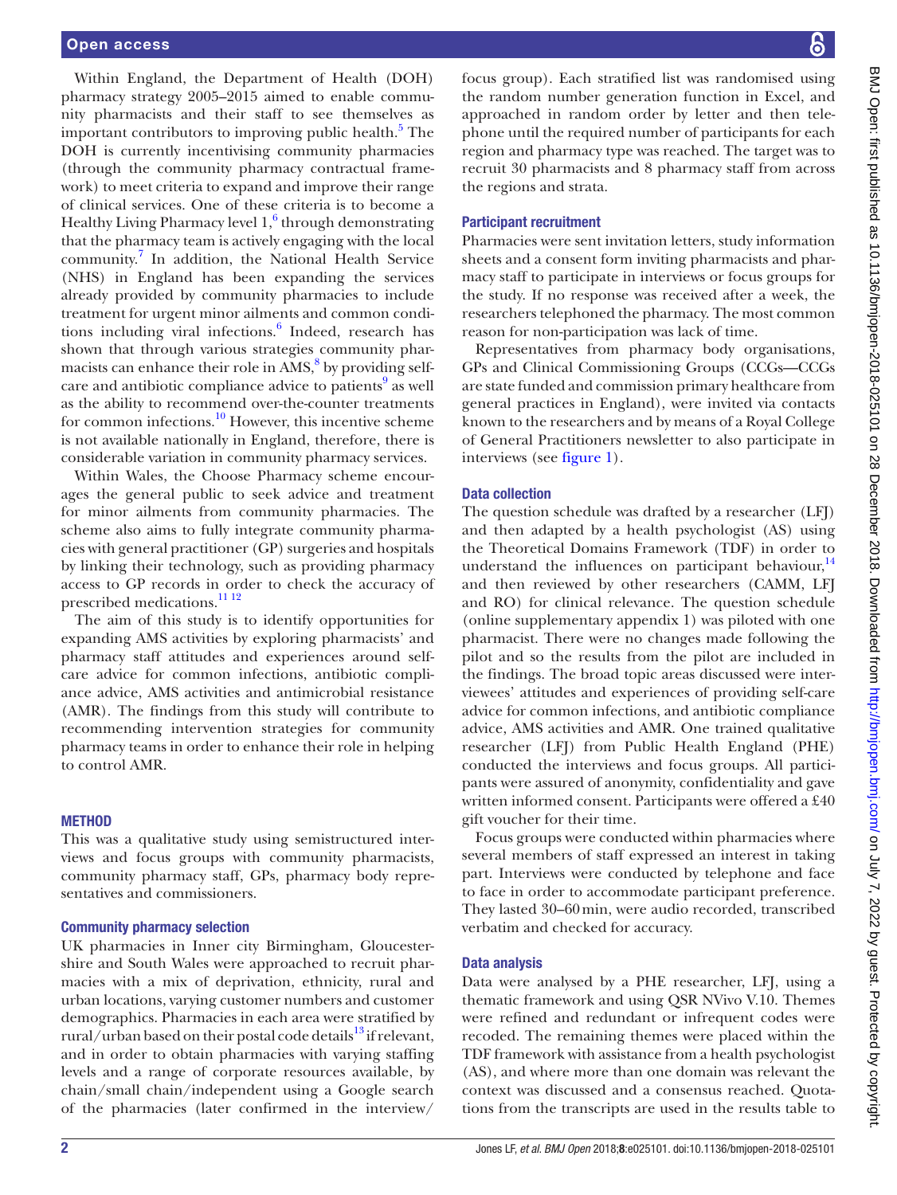Within England, the Department of Health (DOH) pharmacy strategy 2005–2015 aimed to enable community pharmacists and their staff to see themselves as important contributors to improving public health.<sup>[5](#page-9-4)</sup> The DOH is currently incentivising community pharmacies (through the community pharmacy contractual framework) to meet criteria to expand and improve their range of clinical services. One of these criteria is to become a Healthy Living Pharmacy level  $1,6$  $1,6$  through demonstrating that the pharmacy team is actively engaging with the local community.[7](#page-9-6) In addition, the National Health Service (NHS) in England has been expanding the services already provided by community pharmacies to include treatment for urgent minor ailments and common condi-tions including viral infections.<sup>[6](#page-9-5)</sup> Indeed, research has shown that through various strategies community phar-macists can enhance their role in AMS,<sup>[8](#page-9-7)</sup> by providing selfcare and antibiotic compliance advice to patients<sup>9</sup> as well as the ability to recommend over-the-counter treatments for common infections.<sup>10</sup> However, this incentive scheme is not available nationally in England, therefore, there is considerable variation in community pharmacy services.

Within Wales, the Choose Pharmacy scheme encourages the general public to seek advice and treatment for minor ailments from community pharmacies. The scheme also aims to fully integrate community pharmacies with general practitioner (GP) surgeries and hospitals by linking their technology, such as providing pharmacy access to GP records in order to check the accuracy of prescribed medications.<sup>[11 12](#page-9-10)</sup>

The aim of this study is to identify opportunities for expanding AMS activities by exploring pharmacists' and pharmacy staff attitudes and experiences around selfcare advice for common infections, antibiotic compliance advice, AMS activities and antimicrobial resistance (AMR). The findings from this study will contribute to recommending intervention strategies for community pharmacy teams in order to enhance their role in helping to control AMR.

#### **METHOD**

This was a qualitative study using semistructured interviews and focus groups with community pharmacists, community pharmacy staff, GPs, pharmacy body representatives and commissioners.

#### Community pharmacy selection

UK pharmacies in Inner city Birmingham, Gloucestershire and South Wales were approached to recruit pharmacies with a mix of deprivation, ethnicity, rural and urban locations, varying customer numbers and customer demographics. Pharmacies in each area were stratified by rural/urban based on their postal code details<sup>13</sup> if relevant, and in order to obtain pharmacies with varying staffing levels and a range of corporate resources available, by chain/small chain/independent using a Google search of the pharmacies (later confirmed in the interview/

focus group). Each stratified list was randomised using the random number generation function in Excel, and approached in random order by letter and then telephone until the required number of participants for each region and pharmacy type was reached. The target was to recruit 30 pharmacists and 8 pharmacy staff from across the regions and strata.

## Participant recruitment

Pharmacies were sent invitation letters, study information sheets and a consent form inviting pharmacists and pharmacy staff to participate in interviews or focus groups for the study. If no response was received after a week, the researchers telephoned the pharmacy. The most common reason for non-participation was lack of time.

Representatives from pharmacy body organisations, GPs and Clinical Commissioning Groups (CCGs—CCGs are state funded and commission primary healthcare from general practices in England), were invited via contacts known to the researchers and by means of a Royal College of General Practitioners newsletter to also participate in interviews (see [figure](#page-2-0) 1).

## Data collection

The question schedule was drafted by a researcher (LFJ) and then adapted by a health psychologist (AS) using the Theoretical Domains Framework (TDF) in order to understand the influences on participant behaviour, $14$ and then reviewed by other researchers (CAMM, LFJ and RO) for clinical relevance. The question schedule (online [supplementary appendix 1\)](https://dx.doi.org/10.1136/bmjopen-2018-025101) was piloted with one pharmacist. There were no changes made following the pilot and so the results from the pilot are included in the findings. The broad topic areas discussed were interviewees' attitudes and experiences of providing self-care advice for common infections, and antibiotic compliance advice, AMS activities and AMR. One trained qualitative researcher (LFJ) from Public Health England (PHE) conducted the interviews and focus groups. All participants were assured of anonymity, confidentiality and gave written informed consent. Participants were offered a £40 gift voucher for their time.

Focus groups were conducted within pharmacies where several members of staff expressed an interest in taking part. Interviews were conducted by telephone and face to face in order to accommodate participant preference. They lasted 30–60min, were audio recorded, transcribed verbatim and checked for accuracy.

## Data analysis

Data were analysed by a PHE researcher, LFJ, using a thematic framework and using QSR NVivo V.10. Themes were refined and redundant or infrequent codes were recoded. The remaining themes were placed within the TDF framework with assistance from a health psychologist (AS), and where more than one domain was relevant the context was discussed and a consensus reached. Quotations from the transcripts are used in the results table to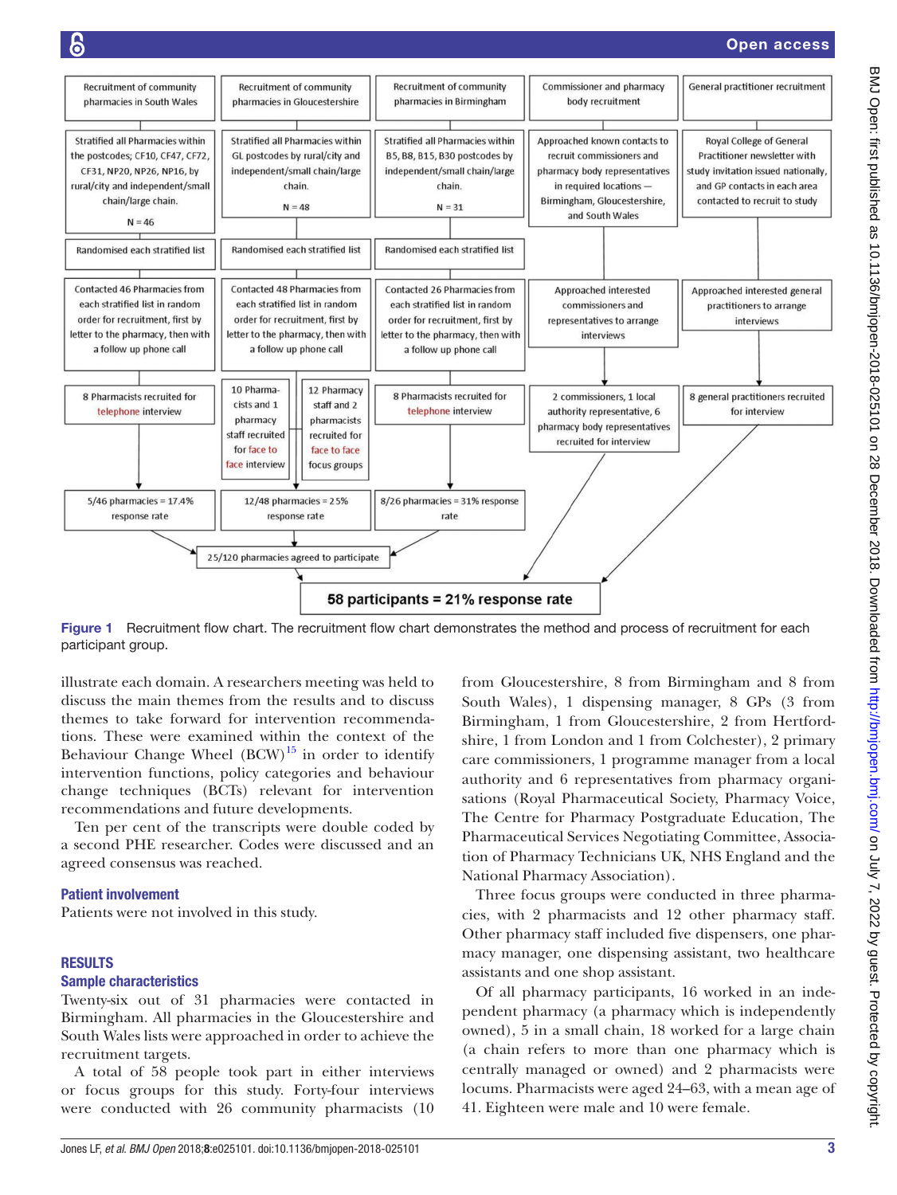## Open access



<span id="page-2-0"></span>Figure 1 Recruitment flow chart. The recruitment flow chart demonstrates the method and process of recruitment for each participant group.

illustrate each domain. A researchers meeting was held to discuss the main themes from the results and to discuss themes to take forward for intervention recommendations. These were examined within the context of the Behaviour Change Wheel  $(BCW)^{15}$  in order to identify intervention functions, policy categories and behaviour change techniques (BCTs) relevant for intervention recommendations and future developments.

Ten per cent of the transcripts were double coded by a second PHE researcher. Codes were discussed and an agreed consensus was reached.

## Patient involvement

Patients were not involved in this study.

#### **RESULTS**

## Sample characteristics

Twenty-six out of 31 pharmacies were contacted in Birmingham. All pharmacies in the Gloucestershire and South Wales lists were approached in order to achieve the recruitment targets.

A total of 58 people took part in either interviews or focus groups for this study. Forty-four interviews were conducted with 26 community pharmacists (10

from Gloucestershire, 8 from Birmingham and 8 from South Wales), 1 dispensing manager, 8 GPs (3 from Birmingham, 1 from Gloucestershire, 2 from Hertfordshire, 1 from London and 1 from Colchester), 2 primary care commissioners, 1 programme manager from a local authority and 6 representatives from pharmacy organisations (Royal Pharmaceutical Society, Pharmacy Voice, The Centre for Pharmacy Postgraduate Education, The Pharmaceutical Services Negotiating Committee, Association of Pharmacy Technicians UK, NHS England and the National Pharmacy Association).

Three focus groups were conducted in three pharmacies, with 2 pharmacists and 12 other pharmacy staff. Other pharmacy staff included five dispensers, one pharmacy manager, one dispensing assistant, two healthcare assistants and one shop assistant.

Of all pharmacy participants, 16 worked in an independent pharmacy (a pharmacy which is independently owned), 5 in a small chain, 18 worked for a large chain (a chain refers to more than one pharmacy which is centrally managed or owned) and 2 pharmacists were locums. Pharmacists were aged 24–63, with a mean age of 41. Eighteen were male and 10 were female.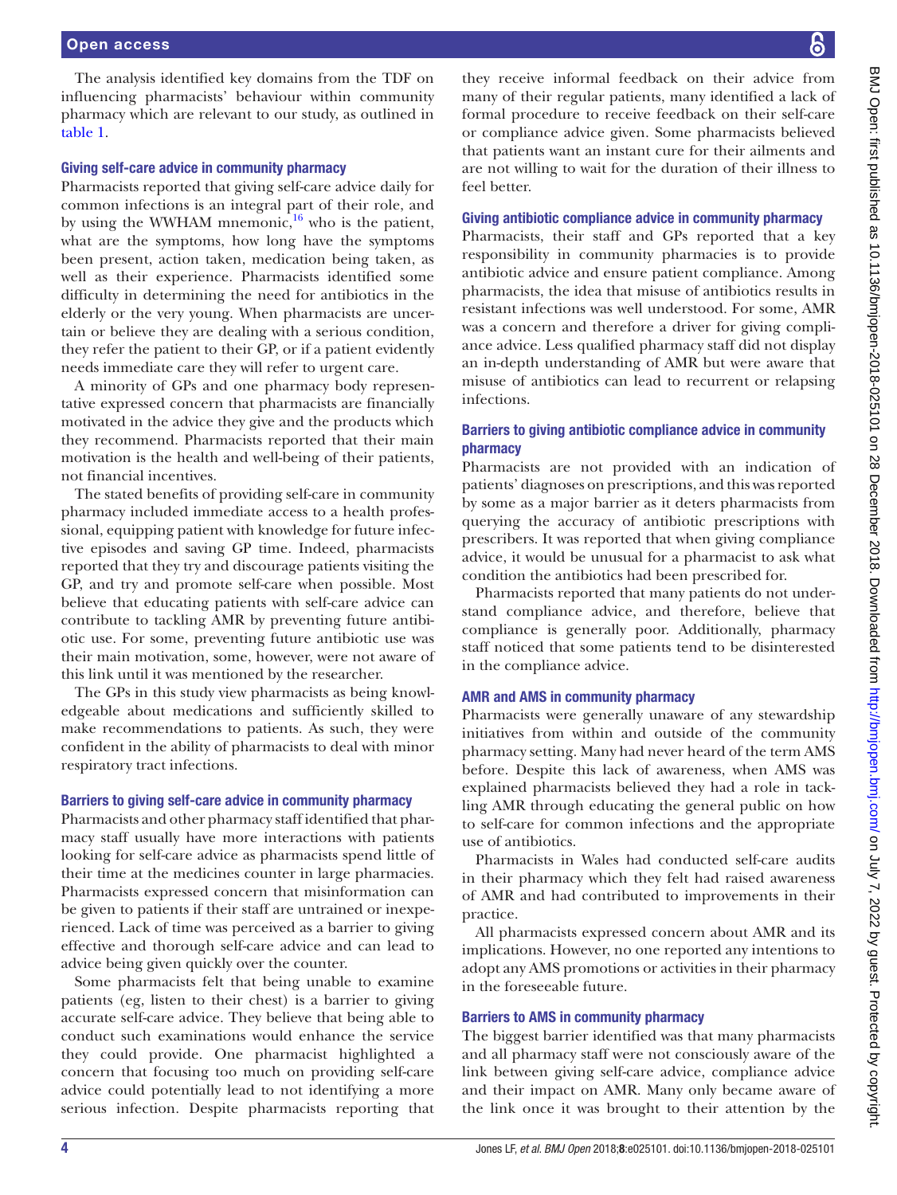The analysis identified key domains from the TDF on influencing pharmacists' behaviour within community pharmacy which are relevant to our study, as outlined in [table](#page-4-0) 1.

#### Giving self-care advice in community pharmacy

Pharmacists reported that giving self-care advice daily for common infections is an integral part of their role, and by using the WWHAM mnemonic, $16$  who is the patient, what are the symptoms, how long have the symptoms been present, action taken, medication being taken, as well as their experience. Pharmacists identified some difficulty in determining the need for antibiotics in the elderly or the very young. When pharmacists are uncertain or believe they are dealing with a serious condition, they refer the patient to their GP, or if a patient evidently needs immediate care they will refer to urgent care.

A minority of GPs and one pharmacy body representative expressed concern that pharmacists are financially motivated in the advice they give and the products which they recommend. Pharmacists reported that their main motivation is the health and well-being of their patients, not financial incentives.

The stated benefits of providing self-care in community pharmacy included immediate access to a health professional, equipping patient with knowledge for future infective episodes and saving GP time. Indeed, pharmacists reported that they try and discourage patients visiting the GP, and try and promote self-care when possible. Most believe that educating patients with self-care advice can contribute to tackling AMR by preventing future antibiotic use. For some, preventing future antibiotic use was their main motivation, some, however, were not aware of this link until it was mentioned by the researcher.

The GPs in this study view pharmacists as being knowledgeable about medications and sufficiently skilled to make recommendations to patients. As such, they were confident in the ability of pharmacists to deal with minor respiratory tract infections.

#### Barriers to giving self-care advice in community pharmacy

Pharmacists and other pharmacy staff identified that pharmacy staff usually have more interactions with patients looking for self-care advice as pharmacists spend little of their time at the medicines counter in large pharmacies. Pharmacists expressed concern that misinformation can be given to patients if their staff are untrained or inexperienced. Lack of time was perceived as a barrier to giving effective and thorough self-care advice and can lead to advice being given quickly over the counter.

Some pharmacists felt that being unable to examine patients (eg, listen to their chest) is a barrier to giving accurate self-care advice. They believe that being able to conduct such examinations would enhance the service they could provide. One pharmacist highlighted a concern that focusing too much on providing self-care advice could potentially lead to not identifying a more serious infection. Despite pharmacists reporting that

they receive informal feedback on their advice from many of their regular patients, many identified a lack of formal procedure to receive feedback on their self-care or compliance advice given. Some pharmacists believed that patients want an instant cure for their ailments and are not willing to wait for the duration of their illness to feel better.

#### Giving antibiotic compliance advice in community pharmacy

Pharmacists, their staff and GPs reported that a key responsibility in community pharmacies is to provide antibiotic advice and ensure patient compliance. Among pharmacists, the idea that misuse of antibiotics results in resistant infections was well understood. For some, AMR was a concern and therefore a driver for giving compliance advice. Less qualified pharmacy staff did not display an in-depth understanding of AMR but were aware that misuse of antibiotics can lead to recurrent or relapsing infections.

## Barriers to giving antibiotic compliance advice in community pharmacy

Pharmacists are not provided with an indication of patients' diagnoses on prescriptions, and this was reported by some as a major barrier as it deters pharmacists from querying the accuracy of antibiotic prescriptions with prescribers. It was reported that when giving compliance advice, it would be unusual for a pharmacist to ask what condition the antibiotics had been prescribed for.

Pharmacists reported that many patients do not understand compliance advice, and therefore, believe that compliance is generally poor. Additionally, pharmacy staff noticed that some patients tend to be disinterested in the compliance advice.

#### AMR and AMS in community pharmacy

Pharmacists were generally unaware of any stewardship initiatives from within and outside of the community pharmacy setting. Many had never heard of the term AMS before. Despite this lack of awareness, when AMS was explained pharmacists believed they had a role in tackling AMR through educating the general public on how to self-care for common infections and the appropriate use of antibiotics.

Pharmacists in Wales had conducted self-care audits in their pharmacy which they felt had raised awareness of AMR and had contributed to improvements in their practice.

All pharmacists expressed concern about AMR and its implications. However, no one reported any intentions to adopt any AMS promotions or activities in their pharmacy in the foreseeable future.

#### Barriers to AMS in community pharmacy

The biggest barrier identified was that many pharmacists and all pharmacy staff were not consciously aware of the link between giving self-care advice, compliance advice and their impact on AMR. Many only became aware of the link once it was brought to their attention by the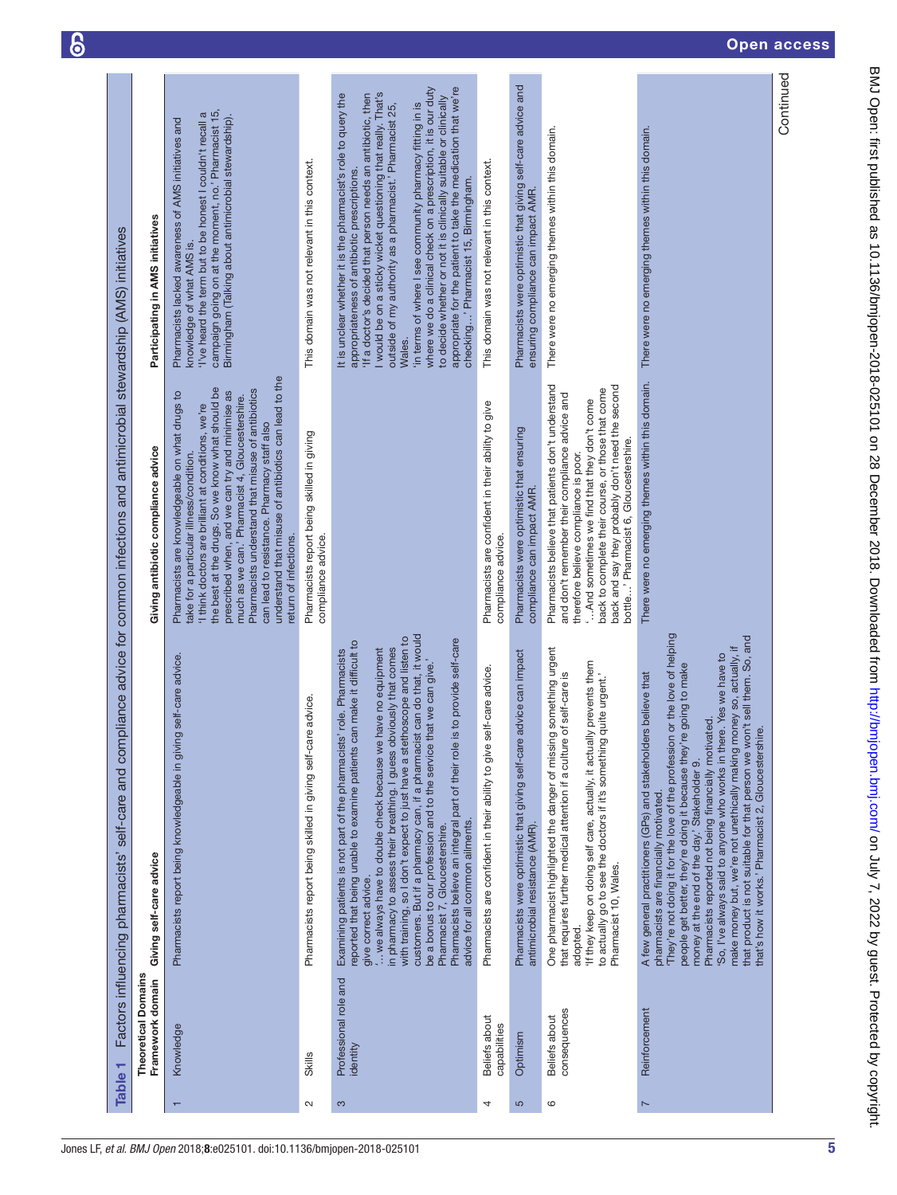<span id="page-4-0"></span>

| <b>Theoretical Domains</b><br>Professional role and<br>Framework domain<br>consequences<br>Reinforcement<br>Beliefs about<br>Beliefs about<br>Knowledge<br>capabilities<br>Optimism<br>identity<br>Skills<br>Table 1 | customers. But if a pharmacy can, if a pharmacist can do that, it would<br>They're not doing it for the love of the profession or the love of helping<br>that product is not suitable for that person we won't sell them. So, and<br>that's how it works.' Pharmacist 2, Gloucestershire.<br>with training, so I don't expect to just have a stethoscope and listen to<br>Pharmacists believe an integral part of their role is to provide self-care<br>Examining patients is not part of the pharmacists' role. Pharmacists<br>reported that being unable to examine patients can make it difficult to<br>make money but, we're not unethically making money so, actually, if<br>have no equipment<br>in pharmacy to assess their breathing. I guess obviously that comes<br>One pharmacist highlighted the danger of missing something urgent<br>advice can impact<br>Pharmacists report being knowledgeable in giving self-care advice.<br>'So, I've always said to anyone who works in there. Yes we have to<br>be a bonus to our profession and to the service that we can give.'<br>'If they keep on doing self care, actually, it actually prevents them<br>people get better, they're doing it because they're going to make<br>Pharmacists are confident in their ability to give self-care advice.<br>of self-care is<br>to actually go to see the doctors if it's something quite urgent.'<br>A few general practitioners (GPs) and stakeholders believe that<br>e advice.<br>Pharmacists reported not being financially motivated.<br>Pharmacists report being skilled in giving self-car<br>Pharmacists were optimistic that giving self-care<br>that requires further medical attention if a culture<br>we always have to double check because we<br>Factors influencing pharmacists' self-care and com<br>money at the end of the day.' Stakeholder 9.<br>pharmacists are financially motivated.<br>advice for all common ailments.<br>Pharmacist 7, Gloucestershire.<br>antimicrobial resistance (AMR)<br>Giving self-care advice<br>Pharmacist 10, Wales.<br>give correct advice.<br>adopted. | pliance advice for common infections and antimicrobial stewardship (AMS) initiatives<br>understand that misuse of antibiotics can lead to the<br>There were no emerging themes within this domain.<br>Pharmacists believe that patients don't understand<br>back and say they probably don't need the second<br>the best at the drugs. So we know what should be<br>back to complete their course, or those that come<br>Pharmacists understand that misuse of antibiotics<br>prescribed when, and we can try and minimise as<br>Pharmacists are knowledgeable on what drugs to<br>and don't remember their compliance advice and<br>much as we can.' Pharmacist 4, Gloucestershire.<br>"And sometimes we find that they don't come<br>Pharmacists are confident in their ability to give<br>'I think doctors are brilliant at conditions, we're<br>can lead to resistance. Pharmacy staff also<br>Pharmacists were optimistic that ensuring<br>Pharmacists report being skilled in giving<br>bottle' Pharmacist 6, Gloucestershire.<br>Giving antibiotic compliance advice<br>take for a particular illness/condition.<br>therefore believe compliance is poor.<br>compliance can impact AMR.<br>return of infections.<br>compliance advice.<br>compliance advice. | Pharmacists were optimistic that giving self-care advice and<br>where we do a clinical check on a prescription, it is our duty<br>appropriate for the patient to take the medication that we're<br>I would be on a sticky wicket questioning that really. That's<br>'If a doctor's decided that person needs an antibiotic, then<br>It is unclear whether it is the pharmacist's role to query the<br>to decide whether or not it is clinically suitable or clinically<br>'in terms of where I see community pharmacy fitting in is<br>outside of my authority as a pharmacist.' Pharmacist 25,<br>'I've heard the term but to be honest I couldn't recall a<br>campaign going on at the moment, no.' Pharmacist 15,<br>Birmingham (Talking about antimicrobial stewardship).<br>Pharmacists lacked awareness of AMS initiatives and<br>There were no emerging themes within this domain.<br>There were no emerging themes within this domain.<br>This domain was not relevant in this context.<br>This domain was not relevant in this context.<br>appropriateness of antibiotic prescriptions.<br>checking' Pharmacist 15, Birmingham.<br>ensuring compliance can impact AMR.<br>Participating in AMS initiatives<br>knowledge of what AMS is.<br>Wales. |
|----------------------------------------------------------------------------------------------------------------------------------------------------------------------------------------------------------------------|----------------------------------------------------------------------------------------------------------------------------------------------------------------------------------------------------------------------------------------------------------------------------------------------------------------------------------------------------------------------------------------------------------------------------------------------------------------------------------------------------------------------------------------------------------------------------------------------------------------------------------------------------------------------------------------------------------------------------------------------------------------------------------------------------------------------------------------------------------------------------------------------------------------------------------------------------------------------------------------------------------------------------------------------------------------------------------------------------------------------------------------------------------------------------------------------------------------------------------------------------------------------------------------------------------------------------------------------------------------------------------------------------------------------------------------------------------------------------------------------------------------------------------------------------------------------------------------------------------------------------------------------------------------------------------------------------------------------------------------------------------------------------------------------------------------------------------------------------------------------------------------------------------------------------------------------------------------------------------------------------------------------------------------------------------------------------------------------------------------|---------------------------------------------------------------------------------------------------------------------------------------------------------------------------------------------------------------------------------------------------------------------------------------------------------------------------------------------------------------------------------------------------------------------------------------------------------------------------------------------------------------------------------------------------------------------------------------------------------------------------------------------------------------------------------------------------------------------------------------------------------------------------------------------------------------------------------------------------------------------------------------------------------------------------------------------------------------------------------------------------------------------------------------------------------------------------------------------------------------------------------------------------------------------------------------------------------------------------------------------------------------------|------------------------------------------------------------------------------------------------------------------------------------------------------------------------------------------------------------------------------------------------------------------------------------------------------------------------------------------------------------------------------------------------------------------------------------------------------------------------------------------------------------------------------------------------------------------------------------------------------------------------------------------------------------------------------------------------------------------------------------------------------------------------------------------------------------------------------------------------------------------------------------------------------------------------------------------------------------------------------------------------------------------------------------------------------------------------------------------------------------------------------------------------------------------------------------------------------------------------------------------------------------|
|----------------------------------------------------------------------------------------------------------------------------------------------------------------------------------------------------------------------|----------------------------------------------------------------------------------------------------------------------------------------------------------------------------------------------------------------------------------------------------------------------------------------------------------------------------------------------------------------------------------------------------------------------------------------------------------------------------------------------------------------------------------------------------------------------------------------------------------------------------------------------------------------------------------------------------------------------------------------------------------------------------------------------------------------------------------------------------------------------------------------------------------------------------------------------------------------------------------------------------------------------------------------------------------------------------------------------------------------------------------------------------------------------------------------------------------------------------------------------------------------------------------------------------------------------------------------------------------------------------------------------------------------------------------------------------------------------------------------------------------------------------------------------------------------------------------------------------------------------------------------------------------------------------------------------------------------------------------------------------------------------------------------------------------------------------------------------------------------------------------------------------------------------------------------------------------------------------------------------------------------------------------------------------------------------------------------------------------------|---------------------------------------------------------------------------------------------------------------------------------------------------------------------------------------------------------------------------------------------------------------------------------------------------------------------------------------------------------------------------------------------------------------------------------------------------------------------------------------------------------------------------------------------------------------------------------------------------------------------------------------------------------------------------------------------------------------------------------------------------------------------------------------------------------------------------------------------------------------------------------------------------------------------------------------------------------------------------------------------------------------------------------------------------------------------------------------------------------------------------------------------------------------------------------------------------------------------------------------------------------------------|------------------------------------------------------------------------------------------------------------------------------------------------------------------------------------------------------------------------------------------------------------------------------------------------------------------------------------------------------------------------------------------------------------------------------------------------------------------------------------------------------------------------------------------------------------------------------------------------------------------------------------------------------------------------------------------------------------------------------------------------------------------------------------------------------------------------------------------------------------------------------------------------------------------------------------------------------------------------------------------------------------------------------------------------------------------------------------------------------------------------------------------------------------------------------------------------------------------------------------------------------------|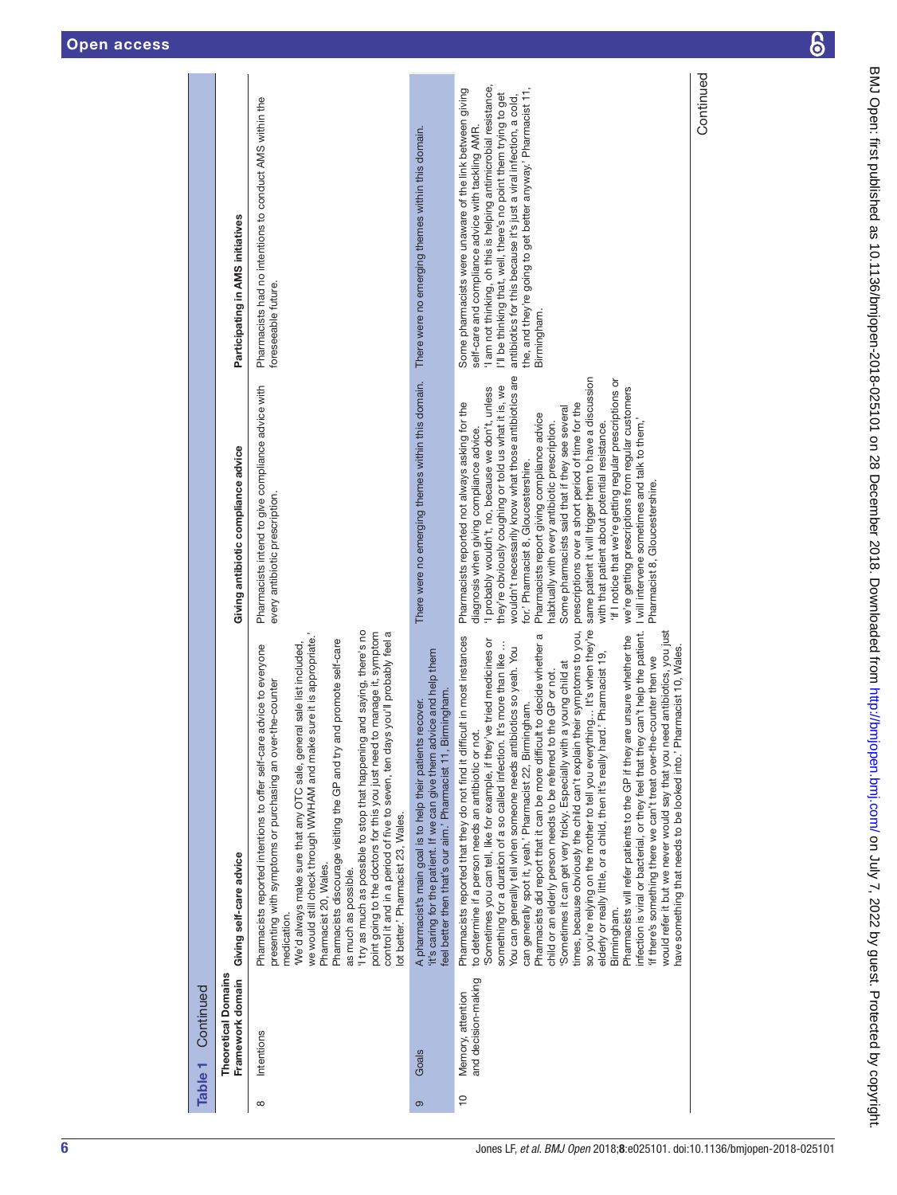|               | Continued<br>Table 1                           |                                                                                                                                                                                                                                                                                                                                                                                                                                                                                                                                                                                                                                                                                                                                                                                                                                                                                                                                                                                                                                                                                                                                                                                                                                                                                                          |                                                                                                                                                                                                                                                                                                                                                                                                                                                                                                                                                                                                                                                                                                                                                                                                                                  |                                                                                                                                                                                                                                                                                                                                                                                                           |
|---------------|------------------------------------------------|----------------------------------------------------------------------------------------------------------------------------------------------------------------------------------------------------------------------------------------------------------------------------------------------------------------------------------------------------------------------------------------------------------------------------------------------------------------------------------------------------------------------------------------------------------------------------------------------------------------------------------------------------------------------------------------------------------------------------------------------------------------------------------------------------------------------------------------------------------------------------------------------------------------------------------------------------------------------------------------------------------------------------------------------------------------------------------------------------------------------------------------------------------------------------------------------------------------------------------------------------------------------------------------------------------|----------------------------------------------------------------------------------------------------------------------------------------------------------------------------------------------------------------------------------------------------------------------------------------------------------------------------------------------------------------------------------------------------------------------------------------------------------------------------------------------------------------------------------------------------------------------------------------------------------------------------------------------------------------------------------------------------------------------------------------------------------------------------------------------------------------------------------|-----------------------------------------------------------------------------------------------------------------------------------------------------------------------------------------------------------------------------------------------------------------------------------------------------------------------------------------------------------------------------------------------------------|
|               | <b>Theoretical Domains</b><br>Framework domain | Giving self-care advice                                                                                                                                                                                                                                                                                                                                                                                                                                                                                                                                                                                                                                                                                                                                                                                                                                                                                                                                                                                                                                                                                                                                                                                                                                                                                  | Giving antibiotic compliance advice                                                                                                                                                                                                                                                                                                                                                                                                                                                                                                                                                                                                                                                                                                                                                                                              | Participating in AMS initiatives                                                                                                                                                                                                                                                                                                                                                                          |
| $^{\circ}$    | Intentions                                     | If try as much as possible to stop that happening and saying, there's no<br>you'll probably feel a<br>manage it, symptom<br>we would still check through WWHAM and make sure it is appropriate.'<br>Pharmacists discourage visiting the GP and try and promote self-care<br>We'd always make sure that any OTC sale, general sale list included,<br>Pharmacists reported intentions to offer self-care advice to everyone<br>presenting with symptoms or purchasing an over-the-counter<br>point going to the doctors for this you just need to<br>control it and in a period of five to seven, ten days<br>ot better.' Pharmacist 23, Wales.<br>Pharmacist 20, Wales.<br>as much as possible.<br>medication.                                                                                                                                                                                                                                                                                                                                                                                                                                                                                                                                                                                            | Pharmacists intend to give compliance advice with<br>every antibiotic prescription.                                                                                                                                                                                                                                                                                                                                                                                                                                                                                                                                                                                                                                                                                                                                              | Pharmacists had no intentions to conduct AMS within the<br>foreseeable future.                                                                                                                                                                                                                                                                                                                            |
| ၜ             | Goals                                          | fit's caring for the patient. If we can give them advice and help them<br>feel better then that's our aim.' Pharmacist 11, Birmingham.<br>A pharmacist's main goal is to help their patients recover.                                                                                                                                                                                                                                                                                                                                                                                                                                                                                                                                                                                                                                                                                                                                                                                                                                                                                                                                                                                                                                                                                                    | There were no emerging themes within this domain.                                                                                                                                                                                                                                                                                                                                                                                                                                                                                                                                                                                                                                                                                                                                                                                | There were no emerging themes within this domain.                                                                                                                                                                                                                                                                                                                                                         |
| $\frac{1}{2}$ | and decision-making<br>Memory, attention       | so you're relying on the mother to tell you everything It's when they're<br>times, because obviously the child can't explain their symptoms to you,<br>can't help the patient.<br>would refer it but we never would say that you need antibiotics, you just<br>Pharmacists did report that it can be more difficult to decide whether a<br>Pharmacists will refer patients to the GP if they are unsure whether the<br>Pharmacists reported that they do not find it difficult in most instances<br>Sometimes you can tell, like for example, if they've tried medicines or<br>'s more than like<br>You can generally tell when someone needs antibiotics so yeah. You<br>have something that needs to be looked into.' Pharmacist 10, Wales.<br>elderly or really little, or a child, then it's really hard.' Pharmacist 19<br>if there's something there we can't treat over-the-counter then we<br>Sometimes it can get very tricky. Especially with a young child at<br>the GP or not.<br>can generally spot it, yeah.' Pharmacist 22, Birmingham.<br>to determine if a person needs an antibiotic or not<br>something for a duration of a so called infection. It<br>child or an elderly person needs to be referred to t<br>infection is viral or bacterial, or they feel that they<br>Birmingham. | wouldn't necessarily know what those antibiotics are<br>same patient it will trigger them to have a discussion<br>'if I notice that we're getting regular prescriptions or<br>they're obviously coughing or told us what it is, we<br>we're getting prescriptions from regular customers<br>'I probably wouldn't, no, because we don't, unless<br>Pharmacists reported not always asking for the<br>prescriptions over a short period of time for the<br>Some pharmacists said that if they see several<br>Pharmacists report giving compliance advice<br>I will intervene sometimes and talk to them,'<br>nabitually with every antibiotic prescription.<br>with that patient about potential resistance.<br>diagnosis when giving compliance advice.<br>for.' Pharmacist 8, Gloucestershire.<br>Pharmacist 8, Gloucestershire. | 1 am not thinking, oh this is helping antimicrobial resistance,<br>Some pharmacists were unaware of the link between giving<br>the, and they're going to get better anyway.' Pharmacist 11,<br>I'll be thinking that, well, there's no point them trying to get<br>antibiotics for this because it's just a viral infection, a cold,<br>self-care and compliance advice with tackling AMR.<br>Birmingham. |
|               |                                                |                                                                                                                                                                                                                                                                                                                                                                                                                                                                                                                                                                                                                                                                                                                                                                                                                                                                                                                                                                                                                                                                                                                                                                                                                                                                                                          |                                                                                                                                                                                                                                                                                                                                                                                                                                                                                                                                                                                                                                                                                                                                                                                                                                  | Continued                                                                                                                                                                                                                                                                                                                                                                                                 |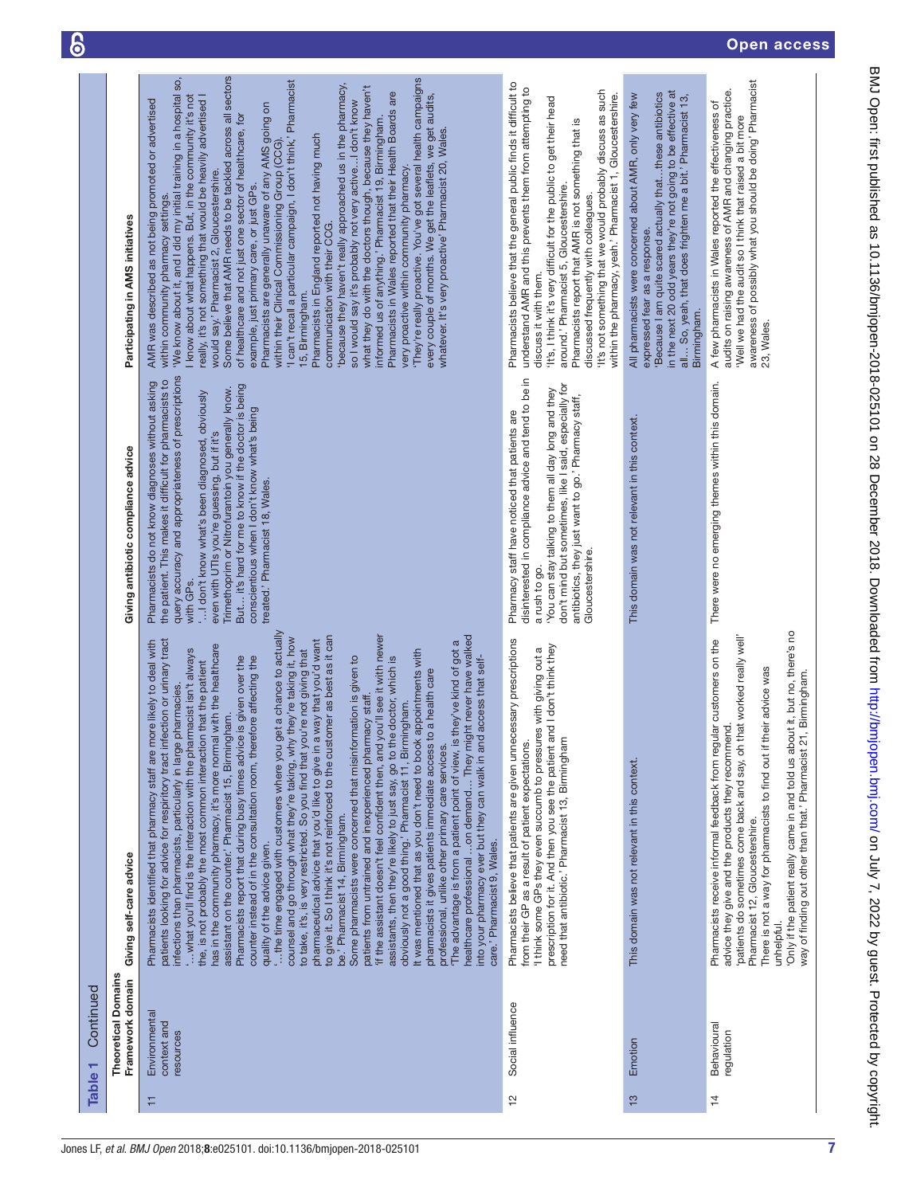| Table <sub>1</sub> | <b>Theoretical Domains</b><br>Continued   |                                                                                                                                                                                                                                                                                                                                                                                                                                                                                                                                                                                                                                                                                                                                                                                                                                                                                                                                                                                                                                                                                                                                                                                                                                                                                                                                                                                                                                                                                                                                                                                                                                                                                                                                                                                                                                                                                                                           |                                                                                                                                                                                                                                                                                                                                                                                                                                                                                   |                                                                                                                                                                                                                                                                                                                                                                                                                                                                                                                                                                                                                                                                                                                                                                                                                                                                                                                                                                                                                                                                                                                                                                                                                                                                                                                                                                       |
|--------------------|-------------------------------------------|---------------------------------------------------------------------------------------------------------------------------------------------------------------------------------------------------------------------------------------------------------------------------------------------------------------------------------------------------------------------------------------------------------------------------------------------------------------------------------------------------------------------------------------------------------------------------------------------------------------------------------------------------------------------------------------------------------------------------------------------------------------------------------------------------------------------------------------------------------------------------------------------------------------------------------------------------------------------------------------------------------------------------------------------------------------------------------------------------------------------------------------------------------------------------------------------------------------------------------------------------------------------------------------------------------------------------------------------------------------------------------------------------------------------------------------------------------------------------------------------------------------------------------------------------------------------------------------------------------------------------------------------------------------------------------------------------------------------------------------------------------------------------------------------------------------------------------------------------------------------------------------------------------------------------|-----------------------------------------------------------------------------------------------------------------------------------------------------------------------------------------------------------------------------------------------------------------------------------------------------------------------------------------------------------------------------------------------------------------------------------------------------------------------------------|-----------------------------------------------------------------------------------------------------------------------------------------------------------------------------------------------------------------------------------------------------------------------------------------------------------------------------------------------------------------------------------------------------------------------------------------------------------------------------------------------------------------------------------------------------------------------------------------------------------------------------------------------------------------------------------------------------------------------------------------------------------------------------------------------------------------------------------------------------------------------------------------------------------------------------------------------------------------------------------------------------------------------------------------------------------------------------------------------------------------------------------------------------------------------------------------------------------------------------------------------------------------------------------------------------------------------------------------------------------------------|
|                    | Framework domain                          | Giving self-care advice                                                                                                                                                                                                                                                                                                                                                                                                                                                                                                                                                                                                                                                                                                                                                                                                                                                                                                                                                                                                                                                                                                                                                                                                                                                                                                                                                                                                                                                                                                                                                                                                                                                                                                                                                                                                                                                                                                   | Giving antibiotic compliance advice                                                                                                                                                                                                                                                                                                                                                                                                                                               | Participating in AMS initiatives                                                                                                                                                                                                                                                                                                                                                                                                                                                                                                                                                                                                                                                                                                                                                                                                                                                                                                                                                                                                                                                                                                                                                                                                                                                                                                                                      |
| Ξ                  | Environmental<br>context and<br>resources | the time engaged with customers where you get a chance to actually<br>'if the assistant doesn't feel confident then, and you'll see it with newer<br>healthcare professional on demand They might never have walked<br>to give it. So I think it's not reinforced to the customer as best as it can<br>counsel and go through what they're taking, why they're taking it, how<br>patients looking for advice for respiritory tract infection or urinary tract<br>pharmaceutical advice that you'd like to give in a way that you'd want<br>more likely to deal with<br>'The advantage is from a patient point of view, is they've kind of got a<br>has in the community pharmacy, it's more normal with the healthcare<br>to take, it's, is very restricted. So you find that you're not giving that<br>It was mentioned that as you don't need to book appointments with<br>" what you'll find is the interaction with the pharmacist isn't always<br>counter instead of in the consultation room, therefore affecting the<br>into your pharmacy ever but they can walk in and access that self-<br>Pharmacists report that during busy times advice is given over the<br>Some pharmacists were concerned that misinformation is given to<br>assistants, then they're likely to just say, go to the doctor, which is<br>the, is not probably the most common interaction that the patient<br>pharmacists it gives patients immediate access to a health care<br>infections than pharmacists, particularly in large pharmacies.<br>patients from untrained and inexperienced pharmacy staff.<br>obviously not a good thing.' Pharmacist 11, Birmingham.<br>assistant on the counter.' Pharmacist 15, Birmingham.<br>professional, unlike other primary care services.<br>Pharmacists identified that pharmacy staff are<br>be.' Pharmacist 14, Birmingham.<br>care.' Pharmacist 9, Wales.<br>quality of the advice given. | query accuracy and appropriateness of prescriptions<br>the patient. This makes it difficult for pharmacists to<br>Pharmacists do not know diagnoses without asking<br>But it's hard for me to know if the doctor is being<br>Trimethoprim or Nitrofurantoin you generally know.<br>' I don't know what's been diagnosed, obviously<br>conscientious when I don't know what's being<br>even with UTIs you're guessing, but if it's<br>treated.' Pharmacist 18, Wales.<br>with GPs. | Some believe that AMR needs to be tackled across all sectors<br>'They're really proactive. You've got several health campaigns<br>'We know about it, and I did my initial training in a hospital so,<br>'I can't recall a particular campaign, I don't think,' Pharmacist<br>'because they haven't really approached us in the pharmacy,<br>what they do with the doctors though, because they haven't<br>Pharmacists in Wales reported that their Health Boards are<br>I know about what happens. But, in the community it's not<br>really, it's not something that would be heavily advertised I<br>every couple of months. We get the leaflets, we get audits,<br>AMR was described as not being promoted or advertised<br>so I would say it's probably not very active I don't know<br>Pharmacists are generally unaware of any AMS going on<br>of healthcare and not just one sector of healthcare, for<br>informed us of anything.' Pharmacist 19, Birmingham.<br>whatever. It's very proactive' Pharmacist 20, Wales.<br>Pharmacists in England reported not having much<br>within their Clinical Commissioning Group (CCG).<br>very proactive within community pharmacy.<br>would say.' Pharmacist 2, Gloucestershire.<br>example, just primary care, or just GPs.<br>within community pharmacy settings.<br>communication with their CCG.<br>15, Birmingham. |
| 얻                  | Social influence                          | Pharmacists believe that patients are given unnecessary prescriptions<br>prescription for it. And then you see the patient and I don't think they<br>I think some GPs they even succumb to pressures with giving out a<br>need that antibiotic.' Pharmacist 13, Birmingham<br>from their GP as a result of patient expectations.                                                                                                                                                                                                                                                                                                                                                                                                                                                                                                                                                                                                                                                                                                                                                                                                                                                                                                                                                                                                                                                                                                                                                                                                                                                                                                                                                                                                                                                                                                                                                                                          | disinterested in compliance advice and tend to be in<br>don't mind but sometimes, like I said, especially for<br>'You can stay talking to them all day long and they<br>antibiotics, they just want to go.' Pharmacy staff,<br>Pharmacy staff have noticed that patients are<br>Gloucestershire.<br>a rush to go.                                                                                                                                                                 | Pharmacists believe that the general public finds it difficult to<br>understand AMR and this prevents them from attempting to<br>'It's not something that we would probably discuss as such<br>within the pharmacy, yeah.' Pharmacist 1, Gloucestershire.<br>'It's, I think it's very difficult for the public to get their head<br>Pharmacists report that AMR is not something that is<br>around.' Pharmacist 5, Gloucestershire.<br>discussed frequently with colleagues.<br>discuss it with them.                                                                                                                                                                                                                                                                                                                                                                                                                                                                                                                                                                                                                                                                                                                                                                                                                                                                 |
| $\frac{1}{2}$      | Emotion                                   | This domain was not relevant in this context.                                                                                                                                                                                                                                                                                                                                                                                                                                                                                                                                                                                                                                                                                                                                                                                                                                                                                                                                                                                                                                                                                                                                                                                                                                                                                                                                                                                                                                                                                                                                                                                                                                                                                                                                                                                                                                                                             | This domain was not relevant in this context.                                                                                                                                                                                                                                                                                                                                                                                                                                     | in the next 20 odd years they're not going to be effective at<br>'Because I am quite scared actually thatthese antibiotics<br>All pharmacists were concerned about AMR, only very few<br>all So, yeah, that does frighten me a bit.' Pharmacist 13,<br>expressed fear as a response.<br>Birmingham.                                                                                                                                                                                                                                                                                                                                                                                                                                                                                                                                                                                                                                                                                                                                                                                                                                                                                                                                                                                                                                                                   |
| $\overline{4}$     | Behavioural<br>regulation                 | 'Only if the patient really came in and told us about it, but no, there's no<br>'patients do sometimes come back and say, oh that worked really well'<br>Pharmacists receive informal feedback from regular customers on the<br>There is not a way for pharmacists to find out if their advice was<br>way of finding out other than that.' Pharmacist 21, Birmingham.<br>advice they give and the products they recommend.<br>Pharmacist 12, Gloucestershire.<br>unhelpful.                                                                                                                                                                                                                                                                                                                                                                                                                                                                                                                                                                                                                                                                                                                                                                                                                                                                                                                                                                                                                                                                                                                                                                                                                                                                                                                                                                                                                                               | There were no emerging themes within this domain.                                                                                                                                                                                                                                                                                                                                                                                                                                 | awareness of possibly what you should be doing' Pharmacist<br>audits on raising awareness of AMR and changing practice.<br>'Well we had the audit so I think that raised a bit more<br>A few pharmacists in Wales reported the effectiveness of<br>23, Wales.                                                                                                                                                                                                                                                                                                                                                                                                                                                                                                                                                                                                                                                                                                                                                                                                                                                                                                                                                                                                                                                                                                         |

7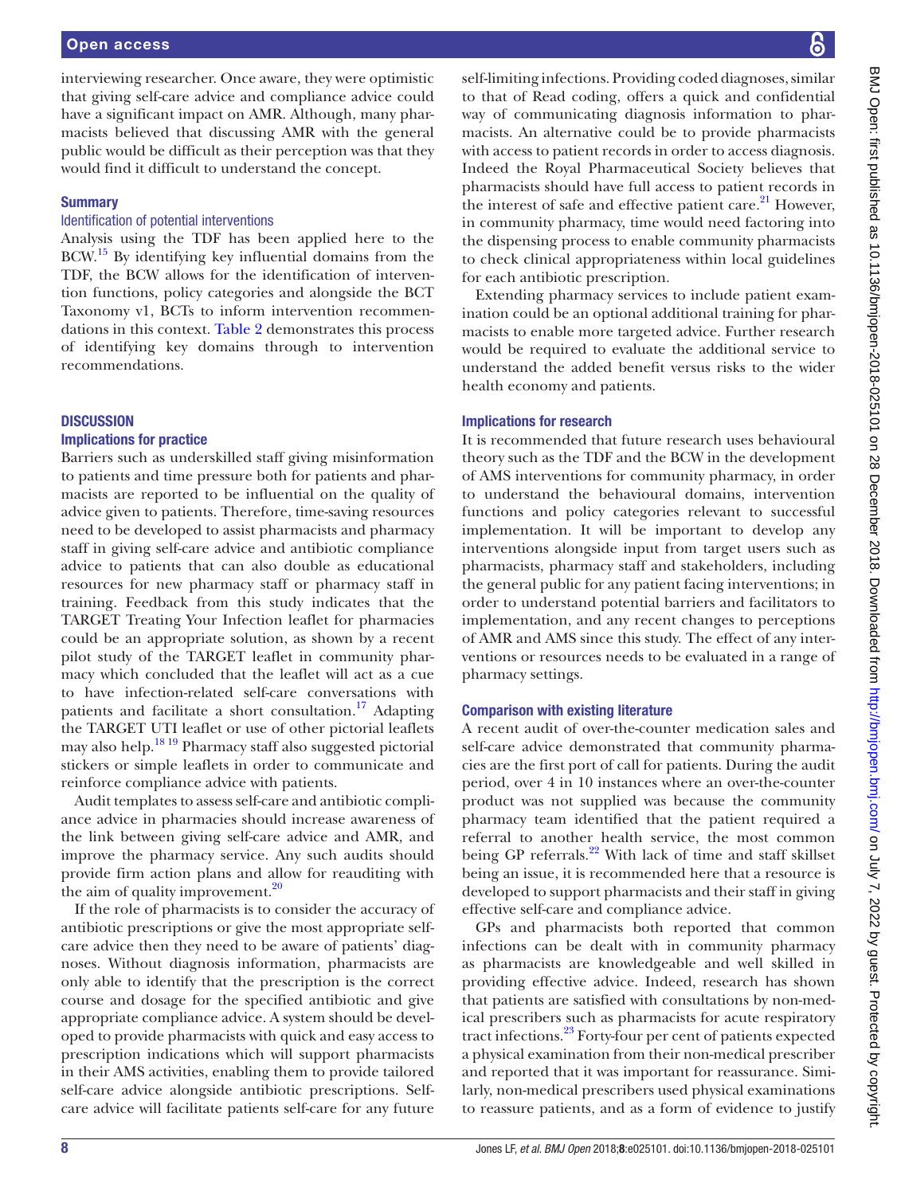interviewing researcher. Once aware, they were optimistic that giving self-care advice and compliance advice could have a significant impact on AMR. Although, many pharmacists believed that discussing AMR with the general public would be difficult as their perception was that they would find it difficult to understand the concept.

#### **Summary**

#### Identification of potential interventions

Analysis using the TDF has been applied here to the BCW.[15](#page-10-2) By identifying key influential domains from the TDF, the BCW allows for the identification of intervention functions, policy categories and alongside the BCT Taxonomy v1, BCTs to inform intervention recommendations in this context. [Table](#page-8-0) 2 demonstrates this process of identifying key domains through to intervention recommendations.

#### **DISCUSSION**

#### Implications for practice

Barriers such as underskilled staff giving misinformation to patients and time pressure both for patients and pharmacists are reported to be influential on the quality of advice given to patients. Therefore, time-saving resources need to be developed to assist pharmacists and pharmacy staff in giving self-care advice and antibiotic compliance advice to patients that can also double as educational resources for new pharmacy staff or pharmacy staff in training. Feedback from this study indicates that the TARGET Treating Your Infection leaflet for pharmacies could be an appropriate solution, as shown by a recent pilot study of the TARGET leaflet in community pharmacy which concluded that the leaflet will act as a cue to have infection-related self-care conversations with patients and facilitate a short consultation. $17$  Adapting the TARGET UTI leaflet or use of other pictorial leaflets may also help.[18 19](#page-10-5) Pharmacy staff also suggested pictorial stickers or simple leaflets in order to communicate and reinforce compliance advice with patients.

Audit templates to assess self-care and antibiotic compliance advice in pharmacies should increase awareness of the link between giving self-care advice and AMR, and improve the pharmacy service. Any such audits should provide firm action plans and allow for reauditing with the aim of quality improvement. $20$ 

If the role of pharmacists is to consider the accuracy of antibiotic prescriptions or give the most appropriate selfcare advice then they need to be aware of patients' diagnoses. Without diagnosis information, pharmacists are only able to identify that the prescription is the correct course and dosage for the specified antibiotic and give appropriate compliance advice. A system should be developed to provide pharmacists with quick and easy access to prescription indications which will support pharmacists in their AMS activities, enabling them to provide tailored self-care advice alongside antibiotic prescriptions. Selfcare advice will facilitate patients self-care for any future

self-limiting infections. Providing coded diagnoses, similar to that of Read coding, offers a quick and confidential way of communicating diagnosis information to pharmacists. An alternative could be to provide pharmacists with access to patient records in order to access diagnosis. Indeed the Royal Pharmaceutical Society believes that pharmacists should have full access to patient records in the interest of safe and effective patient care. $^{21}$  However, in community pharmacy, time would need factoring into the dispensing process to enable community pharmacists to check clinical appropriateness within local guidelines for each antibiotic prescription.

Extending pharmacy services to include patient examination could be an optional additional training for pharmacists to enable more targeted advice. Further research would be required to evaluate the additional service to understand the added benefit versus risks to the wider health economy and patients.

## Implications for research

It is recommended that future research uses behavioural theory such as the TDF and the BCW in the development of AMS interventions for community pharmacy, in order to understand the behavioural domains, intervention functions and policy categories relevant to successful implementation. It will be important to develop any interventions alongside input from target users such as pharmacists, pharmacy staff and stakeholders, including the general public for any patient facing interventions; in order to understand potential barriers and facilitators to implementation, and any recent changes to perceptions of AMR and AMS since this study. The effect of any interventions or resources needs to be evaluated in a range of pharmacy settings.

## Comparison with existing literature

A recent audit of over-the-counter medication sales and self-care advice demonstrated that community pharmacies are the first port of call for patients. During the audit period, over 4 in 10 instances where an over-the-counter product was not supplied was because the community pharmacy team identified that the patient required a referral to another health service, the most common being GP referrals. $^{22}$  $^{22}$  $^{22}$  With lack of time and staff skillset being an issue, it is recommended here that a resource is developed to support pharmacists and their staff in giving effective self-care and compliance advice.

GPs and pharmacists both reported that common infections can be dealt with in community pharmacy as pharmacists are knowledgeable and well skilled in providing effective advice. Indeed, research has shown that patients are satisfied with consultations by non-medical prescribers such as pharmacists for acute respiratory tract infections[.23](#page-10-9) Forty-four per cent of patients expected a physical examination from their non-medical prescriber and reported that it was important for reassurance. Similarly, non-medical prescribers used physical examinations to reassure patients, and as a form of evidence to justify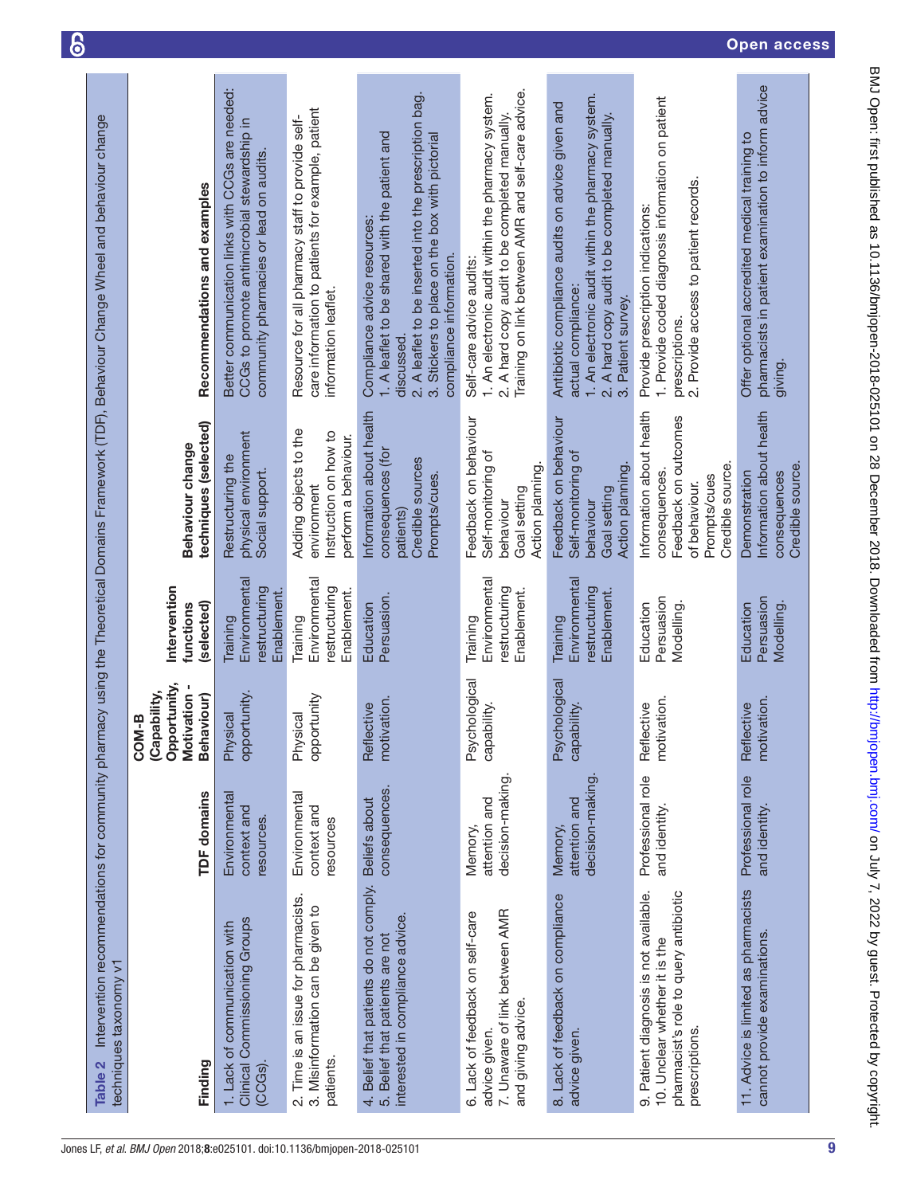<span id="page-8-0"></span>

| techniques taxonomy v1<br>Finding                                                                                                  | <b>TDF</b> domains                          | Opportunity,<br>Motivation-<br>(Capability,<br>Behaviour)<br>COM-B | Intervention<br>(selected)<br>functions                   | techniques (selected)<br>Behaviour change                                                                              | Recommendations and examples                                                                                                                                                                                                        |
|------------------------------------------------------------------------------------------------------------------------------------|---------------------------------------------|--------------------------------------------------------------------|-----------------------------------------------------------|------------------------------------------------------------------------------------------------------------------------|-------------------------------------------------------------------------------------------------------------------------------------------------------------------------------------------------------------------------------------|
| Clinical Commissioning Groups<br>1. Lack of communication with<br>(CCGs)                                                           | Environmental<br>context and<br>resources.  | opportunity.<br>Physical                                           | Environmental<br>restructuring<br>Enablement.<br>Training | physical environment<br>Restructuring the<br>Social support.                                                           | Better communication links with CCGs are needed:<br>CCGs to promote antimicrobial stewardship in<br>community pharmacies or lead on audits                                                                                          |
| 2. Time is an issue for pharmacists.<br>3. Misinformation can be given to<br>patients.                                             | Environmental<br>context and<br>resources   | opportunity<br>Physical                                            | Environmental<br>restructuring<br>Enablement.<br>Training | Adding objects to the<br>Instruction on how to<br>perform a behaviour.<br>environment                                  | care information to patients for example, patient<br>Resource for all pharmacy staff to provide self-<br>information leaflet.                                                                                                       |
| 4. Belief that patients do not comply.<br>5. Belief that patients are not<br>interested in compliance advice.                      | consequences.<br>Beliefs about              | motivation.<br>Reflective                                          | Persuasion.<br>Education                                  | Information about health<br>consequences (for<br>Credible sources<br>Prompts/cues.<br>patients)                        | 2. A leaflet to be inserted into the prescription bag.<br>1. A leaflet to be shared with the patient and<br>3. Stickers to place on the box with pictorial<br>Compliance advice resources:<br>compliance information.<br>discussed. |
| 7. Unaware of link between AMR<br>6. Lack of feedback on self-care<br>and giving advice.<br>advice given.                          | decision-making<br>attention and<br>Memory, | Psychological<br>ability.<br>capa                                  | Environmental<br>restructuring<br>Enablement.<br>Training | Feedback on behaviour<br>Self-monitoring of<br>Action planning.<br>Goal setting<br>behaviour                           | Training on link between AMR and self-care advice.<br>1. An electronic audit within the pharmacy system.<br>2. A hard copy audit to be completed manually.<br>Self-care advice audits:                                              |
| 8. Lack of feedback on compliance<br>advice given.                                                                                 | decision-making<br>attention and<br>Memory, | Psychological<br>ability.<br>cap                                   | Environmental<br>restructuring<br>Enablement.<br>Training | Feedback on behaviour<br>Self-monitoring of<br>Action planning.<br>Goal setting<br>behaviour                           | 1. An electronic audit within the pharmacy system.<br>Antibiotic compliance audits on advice given and<br>2. A hard copy audit to be completed manually.<br>actual compliance:<br>3. Patient survey.                                |
| pharmacist's role to query antibiotic<br>9. Patient diagnosis is not available.<br>10. Unclear whether it is the<br>prescriptions. | Professional role<br>and identity.          | motivation.<br>lective<br>Refl                                     | Persuasion<br>Education<br>Modelling.                     | Information about health<br>Feedback on outcomes<br>Credible source.<br>consequences.<br>Prompts/cues<br>of behaviour. | 1. Provide coded diagnosis information on patient<br>prescriptions.<br>2. Provide access to patient records.<br>Provide prescription indications:                                                                                   |
| 11. Advice is limited as pharmacists<br>cannot provide examinations.                                                               | Professional role<br>and identity.          | motivation.<br>Reflective                                          | Persuasion<br>Education<br>Modelling.                     | Information about health<br>Credible source.<br>Demonstration<br>consequences                                          | pharmacists in patient examination to inform advice<br>Offer optional accredited medical training to<br>giving.                                                                                                                     |

 $\epsilon$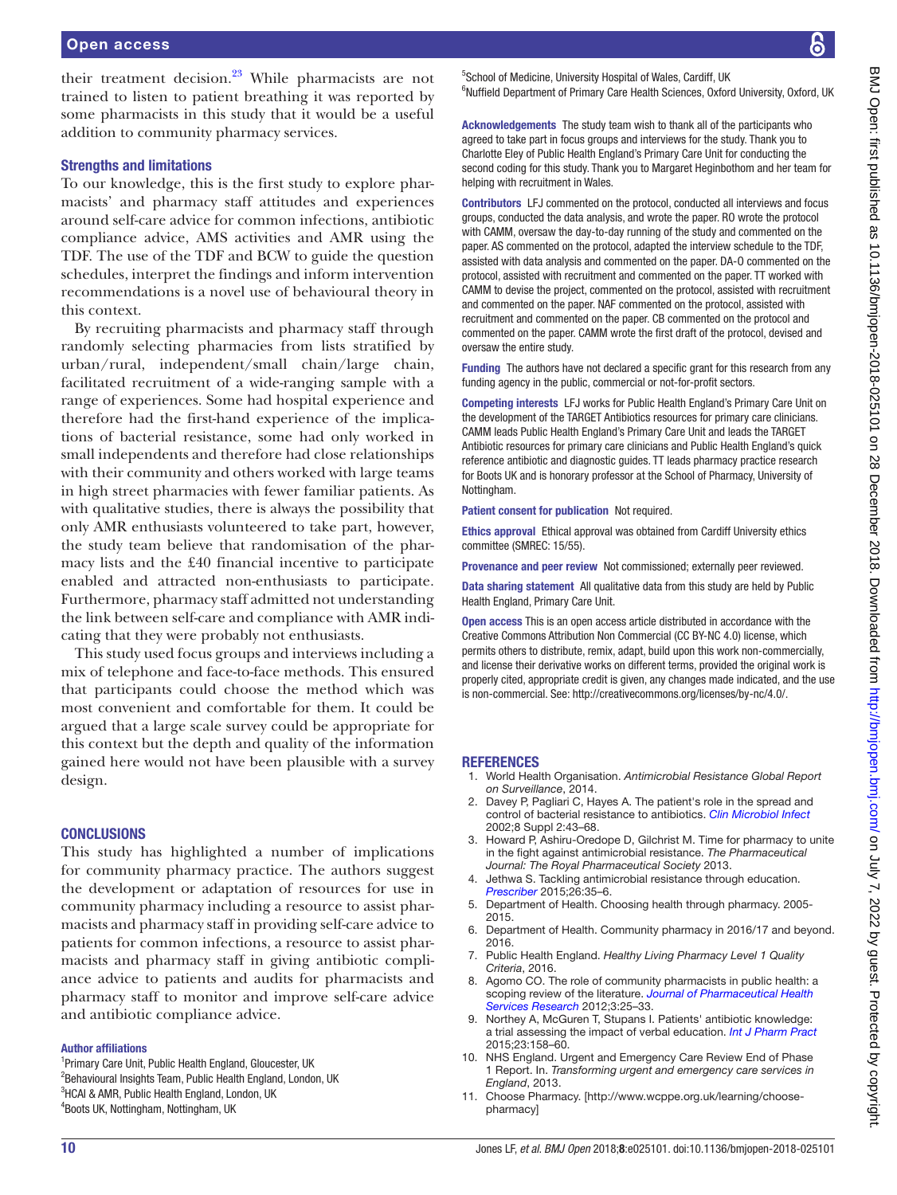their treatment decision[.23](#page-10-9) While pharmacists are not trained to listen to patient breathing it was reported by some pharmacists in this study that it would be a useful addition to community pharmacy services.

#### Strengths and limitations

To our knowledge, this is the first study to explore pharmacists' and pharmacy staff attitudes and experiences around self-care advice for common infections, antibiotic compliance advice, AMS activities and AMR using the TDF. The use of the TDF and BCW to guide the question schedules, interpret the findings and inform intervention recommendations is a novel use of behavioural theory in this context.

By recruiting pharmacists and pharmacy staff through randomly selecting pharmacies from lists stratified by urban/rural, independent/small chain/large chain, facilitated recruitment of a wide-ranging sample with a range of experiences. Some had hospital experience and therefore had the first-hand experience of the implications of bacterial resistance, some had only worked in small independents and therefore had close relationships with their community and others worked with large teams in high street pharmacies with fewer familiar patients. As with qualitative studies, there is always the possibility that only AMR enthusiasts volunteered to take part, however, the study team believe that randomisation of the pharmacy lists and the £40 financial incentive to participate enabled and attracted non-enthusiasts to participate. Furthermore, pharmacy staff admitted not understanding the link between self-care and compliance with AMR indicating that they were probably not enthusiasts.

This study used focus groups and interviews including a mix of telephone and face-to-face methods. This ensured that participants could choose the method which was most convenient and comfortable for them. It could be argued that a large scale survey could be appropriate for this context but the depth and quality of the information gained here would not have been plausible with a survey design.

## **CONCLUSIONS**

This study has highlighted a number of implications for community pharmacy practice. The authors suggest the development or adaptation of resources for use in community pharmacy including a resource to assist pharmacists and pharmacy staff in providing self-care advice to patients for common infections, a resource to assist pharmacists and pharmacy staff in giving antibiotic compliance advice to patients and audits for pharmacists and pharmacy staff to monitor and improve self-care advice and antibiotic compliance advice.

#### Author affiliations

<sup>1</sup> Primary Care Unit, Public Health England, Gloucester, UK <sup>2</sup>Behavioural Insights Team, Public Health England, London, UK <sup>3</sup>HCAI & AMR, Public Health England, London, UK 4 Boots UK, Nottingham, Nottingham, UK

<sup>5</sup>School of Medicine, University Hospital of Wales, Cardiff, UK <sup>6</sup>Nuffield Department of Primary Care Health Sciences, Oxford University, Oxford, UK

Acknowledgements The study team wish to thank all of the participants who agreed to take part in focus groups and interviews for the study. Thank you to Charlotte Eley of Public Health England's Primary Care Unit for conducting the second coding for this study. Thank you to Margaret Heginbothom and her team for helping with recruitment in Wales.

Contributors LFJ commented on the protocol, conducted all interviews and focus groups, conducted the data analysis, and wrote the paper. RO wrote the protocol with CAMM, oversaw the day-to-day running of the study and commented on the paper. AS commented on the protocol, adapted the interview schedule to the TDF, assisted with data analysis and commented on the paper. DA-O commented on the protocol, assisted with recruitment and commented on the paper. TT worked with CAMM to devise the project, commented on the protocol, assisted with recruitment and commented on the paper. NAF commented on the protocol, assisted with recruitment and commented on the paper. CB commented on the protocol and commented on the paper. CAMM wrote the first draft of the protocol, devised and oversaw the entire study.

Funding The authors have not declared a specific grant for this research from any funding agency in the public, commercial or not-for-profit sectors.

Competing interests LFJ works for Public Health England's Primary Care Unit on the development of the TARGET Antibiotics resources for primary care clinicians. CAMM leads Public Health England's Primary Care Unit and leads the TARGET Antibiotic resources for primary care clinicians and Public Health England's quick reference antibiotic and diagnostic guides. TT leads pharmacy practice research for Boots UK and is honorary professor at the School of Pharmacy, University of Nottingham.

Patient consent for publication Not required.

Ethics approval Ethical approval was obtained from Cardiff University ethics committee (SMREC: 15/55).

Provenance and peer review Not commissioned; externally peer reviewed.

Data sharing statement All qualitative data from this study are held by Public Health England, Primary Care Unit.

Open access This is an open access article distributed in accordance with the Creative Commons Attribution Non Commercial (CC BY-NC 4.0) license, which permits others to distribute, remix, adapt, build upon this work non-commercially, and license their derivative works on different terms, provided the original work is properly cited, appropriate credit is given, any changes made indicated, and the use is non-commercial. See: [http://creativecommons.org/licenses/by-nc/4.0/.](http://creativecommons.org/licenses/by-nc/4.0/)

#### **REFERENCES**

- <span id="page-9-0"></span>1. World Health Organisation. *Antimicrobial Resistance Global Report on Surveillance*, 2014.
- <span id="page-9-1"></span>2. Davey P, Pagliari C, Hayes A. The patient's role in the spread and control of bacterial resistance to antibiotics. *[Clin Microbiol Infect](http://www.ncbi.nlm.nih.gov/pubmed/12427207)* 2002;8 Suppl 2:43–68.
- <span id="page-9-2"></span>3. Howard P, Ashiru-Oredope D, Gilchrist M. Time for pharmacy to unite in the fight against antimicrobial resistance. *The Pharmaceutical Journal: The Royal Pharmaceutical Society* 2013.
- <span id="page-9-3"></span>4. Jethwa S. Tackling antimicrobial resistance through education. *[Prescriber](http://dx.doi.org/10.1002/psb.1351)* 2015;26:35–6.
- <span id="page-9-4"></span>5. Department of Health. Choosing health through pharmacy. 2005- 2015.
- <span id="page-9-5"></span>6. Department of Health. Community pharmacy in 2016/17 and beyond. 2016.
- <span id="page-9-6"></span>7. Public Health England. *Healthy Living Pharmacy Level 1 Quality Criteria*, 2016.
- <span id="page-9-7"></span>8. Agomo CO. The role of community pharmacists in public health: a scoping review of the literature. *[Journal of Pharmaceutical Health](http://dx.doi.org/10.1111/j.1759-8893.2011.00074.x)  [Services Research](http://dx.doi.org/10.1111/j.1759-8893.2011.00074.x)* 2012;3:25–33.
- <span id="page-9-8"></span>9. Northey A, McGuren T, Stupans I. Patients' antibiotic knowledge: a trial assessing the impact of verbal education. *[Int J Pharm Pract](http://dx.doi.org/10.1111/ijpp.12136)* 2015;23:158–60.
- <span id="page-9-9"></span>10. NHS England. Urgent and Emergency Care Review End of Phase 1 Report. In. *Transforming urgent and emergency care services in England*, 2013.
- <span id="page-9-10"></span>11. Choose Pharmacy. [\[http://www.wcppe.org.uk/learning/choose](http://www.wcppe.org.uk/learning/choose-pharmacy)[pharmacy](http://www.wcppe.org.uk/learning/choose-pharmacy)]